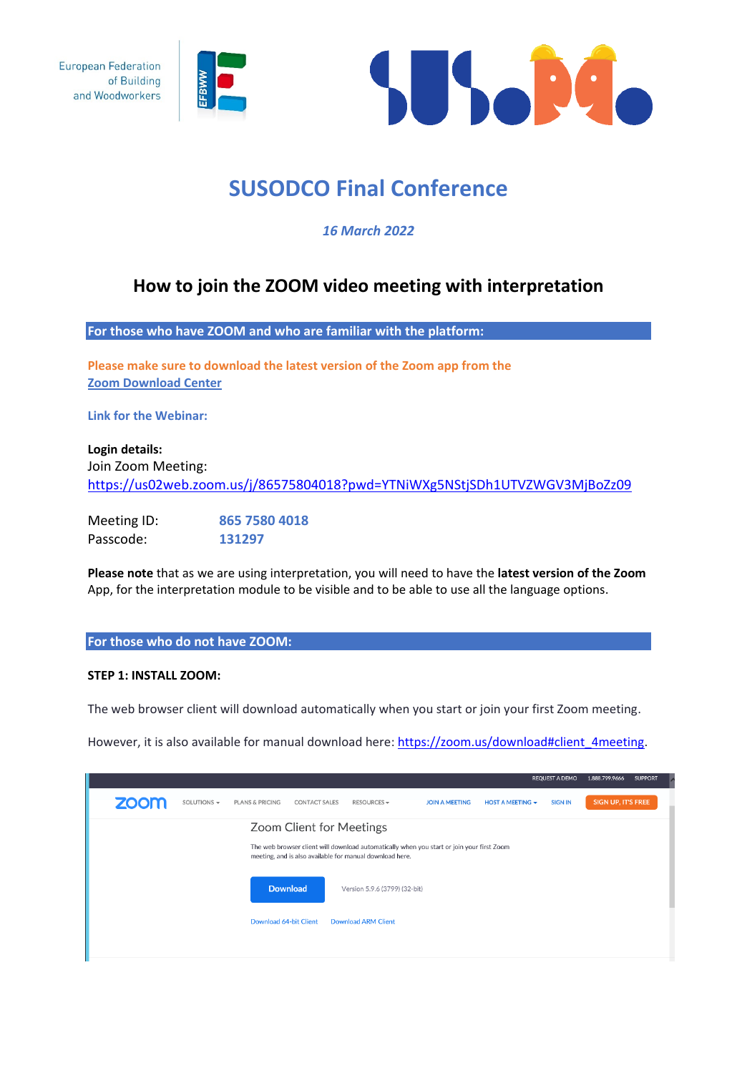





# **SUSODCO Final Conference**

*16 March 2022*

# **How to join the ZOOM video meeting with interpretation**

**For those who have ZOOM and who are familiar with the platform:**

**Please make sure to download the latest version of the Zoom app from the [Zoom Download Center](https://zoom.us/download)**

**Link for the Webinar:**

# **Login details:**  Join Zoom Meeting: <https://us02web.zoom.us/j/86575804018?pwd=YTNiWXg5NStjSDh1UTVZWGV3MjBoZz09>

| Meeting ID: | 865 7580 4018 |
|-------------|---------------|
| Passcode:   | 131297        |

**Please note** that as we are using interpretation, you will need to have the **latest version of the Zoom** App, for the interpretation module to be visible and to be able to use all the language options.

### **For those who do not have ZOOM:**

#### **STEP 1: INSTALL ZOOM:**

The web browser client will download automatically when you start or join your first Zoom meeting.

However, it is also available for manual download here: [https://zoom.us/download#client\\_4meeting.](https://zoom.us/download#client_4meeting)

|             |                   |                               |                                                          |                               |                                                                                           |                       | 1.2.4          | 1.00017771000      |  |
|-------------|-------------------|-------------------------------|----------------------------------------------------------|-------------------------------|-------------------------------------------------------------------------------------------|-----------------------|----------------|--------------------|--|
| <b>ZOOM</b> | SOLUTIONS $\star$ | <b>PLANS &amp; PRICING</b>    | <b>CONTACT SALES</b>                                     | RESOURCES -                   | <b>JOIN A MEETING</b>                                                                     | HOST A MEETING $\sim$ | <b>SIGN IN</b> | SIGN UP, IT'S FREE |  |
|             |                   |                               | Zoom Client for Meetings                                 |                               |                                                                                           |                       |                |                    |  |
|             |                   |                               | meeting, and is also available for manual download here. |                               | The web browser client will download automatically when you start or join your first Zoom |                       |                |                    |  |
|             |                   |                               | <b>Download</b>                                          | Version 5.9.6 (3799) (32-bit) |                                                                                           |                       |                |                    |  |
|             |                   | <b>Download 64-bit Client</b> |                                                          | <b>Download ARM Client</b>    |                                                                                           |                       |                |                    |  |
|             |                   |                               |                                                          |                               |                                                                                           |                       |                |                    |  |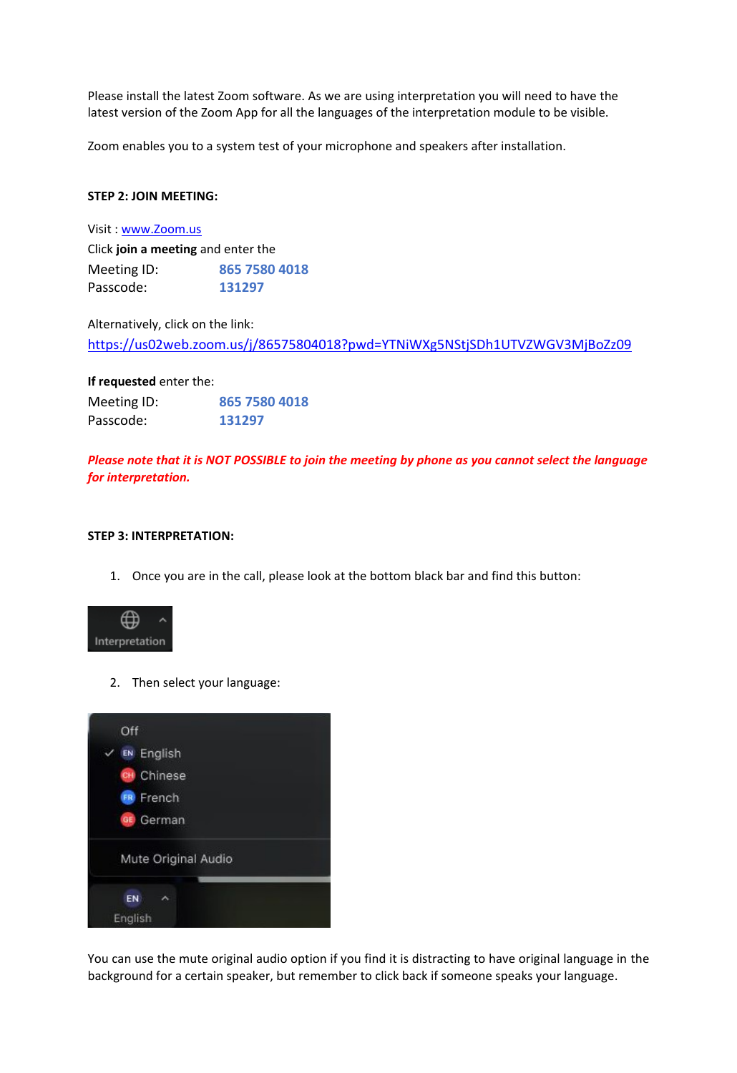Please install the latest Zoom software. As we are using interpretation you will need to have the latest version of the Zoom App for all the languages of the interpretation module to be visible.

Zoom enables you to a system test of your microphone and speakers after installation.

#### **STEP 2: JOIN MEETING:**

Visit : [www.Zoom.us](http://www.zoom.us/) Click **join a meeting** and enter the Meeting ID: **865 7580 4018** Passcode: **131297**

Alternatively, click on the link:

<https://us02web.zoom.us/j/86575804018?pwd=YTNiWXg5NStjSDh1UTVZWGV3MjBoZz09>

**If requested** enter the:

| Meeting ID: | 865 7580 4018 |
|-------------|---------------|
| Passcode:   | 131297        |

*Please note that it is NOT POSSIBLE to join the meeting by phone as you cannot select the language for interpretation.*

#### **STEP 3: INTERPRETATION:**

1. Once you are in the call, please look at the bottom black bar and find this button:



2. Then select your language:

| Off                    |  |
|------------------------|--|
| <b>EN English</b><br>✓ |  |
| <b>CH</b> Chinese      |  |
| <b>FR</b> French       |  |
| <b>GE</b> German       |  |
| Mute Original Audio    |  |
| EN                     |  |
| English                |  |

You can use the mute original audio option if you find it is distracting to have original language in the background for a certain speaker, but remember to click back if someone speaks your language.